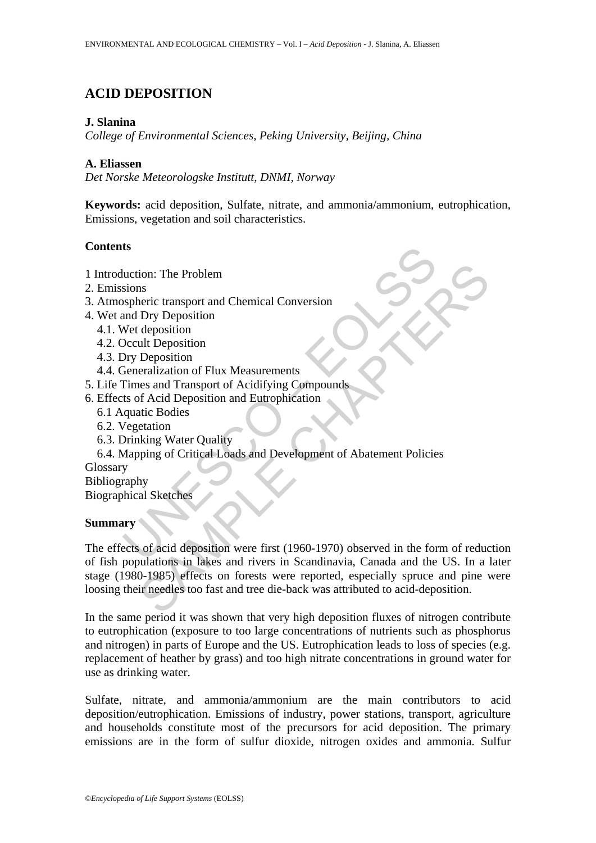# **ACID DEPOSITION**

#### **J. Slanina**

*College of Environmental Sciences, Peking University, Beijing, China* 

#### **A. Eliassen**

*Det Norske Meteorologske Institutt, DNMI, Norway* 

**Keywords:** acid deposition, Sulfate, nitrate, and ammonia/ammonium, eutrophication, Emissions, vegetation and soil characteristics.

# **Contents**

- 1 Introduction: The Problem
- 2. Emissions
- 3. Atmospheric transport and Chemical Conversion
- 4. Wet and Dry Deposition
	- 4.1. Wet deposition
	- 4.2. Occult Deposition
	- 4.3. Dry Deposition
	- 4.4. Generalization of Flux Measurements
- 5. Life Times and Transport of Acidifying Compounds
- 6. Effects of Acid Deposition and Eutrophication
	- 6.1 Aquatic Bodies
	- 6.2. Vegetation
	- 6.3. Drinking Water Quality
	- 6.4. Mapping of Critical Loads and Development of Abatement Policies

**Glossary** 

Bibliography Biographical Sketches

# **Summary**

**IS**<br>
Interior: The Problem<br>
Sions<br>
Syspheric transport and Chemical Conversion<br>
Met deposition<br>
Net deposition<br>
Dry Deposition<br>
Dry Deposition<br>
Dry Deposition<br>
Journalization of Flux Measurements<br>
Times and Transport of A ion: The Problem<br>
Instruments<br>
IDTV Deposition<br>
Dry Deposition<br>
Obposition<br>
Interpretains deposition<br>
deposition<br>
deposition<br>
deposition<br>
deposition<br>
of Flux Measurements<br>
are sense and Transport of Acidifying Compounds<br>
o The effects of acid deposition were first (1960-1970) observed in the form of reduction of fish populations in lakes and rivers in Scandinavia, Canada and the US. In a later stage (1980-1985) effects on forests were reported, especially spruce and pine were loosing their needles too fast and tree die-back was attributed to acid-deposition.

In the same period it was shown that very high deposition fluxes of nitrogen contribute to eutrophication (exposure to too large concentrations of nutrients such as phosphorus and nitrogen) in parts of Europe and the US. Eutrophication leads to loss of species (e.g. replacement of heather by grass) and too high nitrate concentrations in ground water for use as drinking water.

Sulfate, nitrate, and ammonia/ammonium are the main contributors to acid deposition/eutrophication. Emissions of industry, power stations, transport, agriculture and households constitute most of the precursors for acid deposition. The primary emissions are in the form of sulfur dioxide, nitrogen oxides and ammonia. Sulfur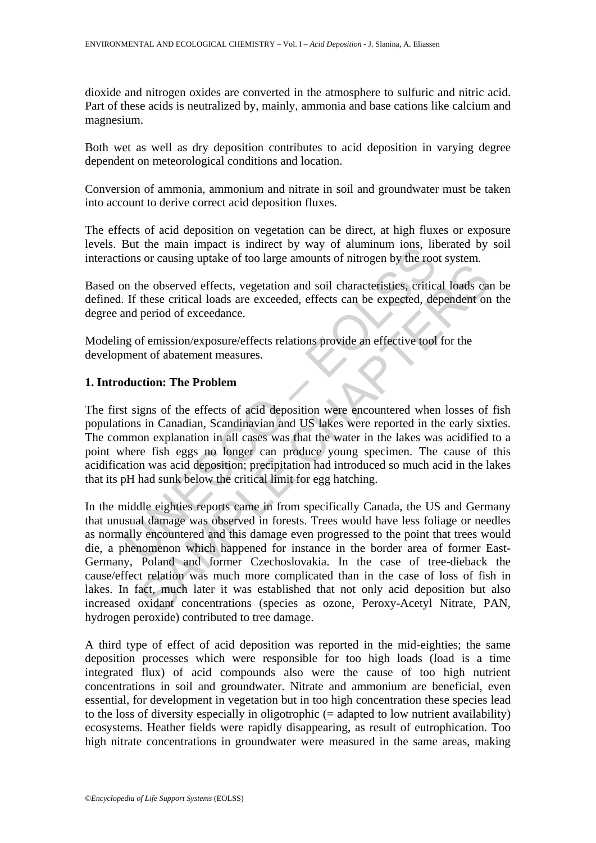dioxide and nitrogen oxides are converted in the atmosphere to sulfuric and nitric acid. Part of these acids is neutralized by, mainly, ammonia and base cations like calcium and magnesium.

Both wet as well as dry deposition contributes to acid deposition in varying degree dependent on meteorological conditions and location.

Conversion of ammonia, ammonium and nitrate in soil and groundwater must be taken into account to derive correct acid deposition fluxes.

The effects of acid deposition on vegetation can be direct, at high fluxes or exposure levels. But the main impact is indirect by way of aluminum ions, liberated by soil interactions or causing uptake of too large amounts of nitrogen by the root system.

Based on the observed effects, vegetation and soil characteristics, critical loads can be defined. If these critical loads are exceeded, effects can be expected, dependent on the degree and period of exceedance.

Modeling of emission/exposure/effects relations provide an effective tool for the development of abatement measures.

#### **1. Introduction: The Problem**

But the main impact is munect by way of aluminum lons, moions or causing uptake of too large amounts of nitrogen by the room the observed effects, vegetation and soil characteristics, critical I. If these critical loads ar The first signs of the effects of acid deposition were encountered when losses of fish populations in Canadian, Scandinavian and US lakes were reported in the early sixties. The common explanation in all cases was that the water in the lakes was acidified to a point where fish eggs no longer can produce young specimen. The cause of this acidification was acid deposition; precipitation had introduced so much acid in the lakes that its pH had sunk below the critical limit for egg hatching.

From the observed effects, vegetation and soil characteristies, critical loads can<br>these critical loads are exceeded, effects can be expected, dependent on<br>period of exceedance.<br>of emission/exposure/effects relations provi In the middle eighties reports came in from specifically Canada, the US and Germany that unusual damage was observed in forests. Trees would have less foliage or needles as normally encountered and this damage even progressed to the point that trees would die, a phenomenon which happened for instance in the border area of former East-Germany, Poland and former Czechoslovakia. In the case of tree-dieback the cause/effect relation was much more complicated than in the case of loss of fish in lakes. In fact, much later it was established that not only acid deposition but also increased oxidant concentrations (species as ozone, Peroxy-Acetyl Nitrate, PAN, hydrogen peroxide) contributed to tree damage.

A third type of effect of acid deposition was reported in the mid-eighties; the same deposition processes which were responsible for too high loads (load is a time integrated flux) of acid compounds also were the cause of too high nutrient concentrations in soil and groundwater. Nitrate and ammonium are beneficial, even essential, for development in vegetation but in too high concentration these species lead to the loss of diversity especially in oligotrophic (= adapted to low nutrient availability) ecosystems. Heather fields were rapidly disappearing, as result of eutrophication. Too high nitrate concentrations in groundwater were measured in the same areas, making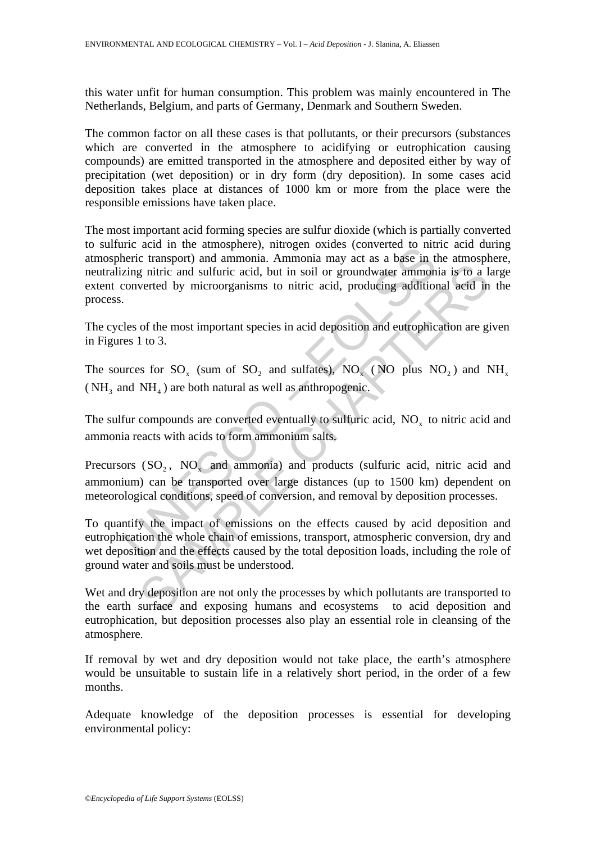this water unfit for human consumption. This problem was mainly encountered in The Netherlands, Belgium, and parts of Germany, Denmark and Southern Sweden.

The common factor on all these cases is that pollutants, or their precursors (substances which are converted in the atmosphere to acidifying or eutrophication causing compounds) are emitted transported in the atmosphere and deposited either by way of precipitation (wet deposition) or in dry form (dry deposition). In some cases acid deposition takes place at distances of 1000 km or more from the place were the responsible emissions have taken place.

metal in the annonional Ammonia may actes (converted to munical<br>eric transport) and ammonia. Ammonia may act as a base in the straige intric and sulfuric acid, but in soil or groundwater ammon<br>converted by microorganisms The most important acid forming species are sulfur dioxide (which is partially converted to sulfuric acid in the atmosphere), nitrogen oxides (converted to nitric acid during atmospheric transport) and ammonia. Ammonia may act as a base in the atmosphere, neutralizing nitric and sulfuric acid, but in soil or groundwater ammonia is to a large extent converted by microorganisms to nitric acid, producing additional acid in the process.

The cycles of the most important species in acid deposition and eutrophication are given in Figures 1 to 3.

The sources for SO<sub>x</sub> (sum of SO<sub>2</sub> and sulfates), NO<sub>x</sub> (NO plus NO<sub>2</sub>) and NH<sub>x</sub> ( $NH<sub>3</sub>$  and  $NH<sub>4</sub>$ ) are both natural as well as anthropogenic.

The sulfur compounds are converted eventually to sulfuric acid,  $NO<sub>x</sub>$  to nitric acid and ammonia reacts with acids to form ammonium salts.

Precursors (SO<sub>2</sub>, NO<sub>x</sub> and ammonia) and products (sulfuric acid, nitric acid and ammonium) can be transported over large distances (up to 1500 km) dependent on meteorological conditions, speed of conversion, and removal by deposition processes.

g nitric and sulfuric acid, but in soil or groundwater ammonia is to a 1<br>verted by microorganisms to nitric acid, producing additional acid in<br>verted by microorganisms to nitric acid, producing additional acid in<br>of the m To quantify the impact of emissions on the effects caused by acid deposition and eutrophication the whole chain of emissions, transport, atmospheric conversion, dry and wet deposition and the effects caused by the total deposition loads, including the role of ground water and soils must be understood.

Wet and dry deposition are not only the processes by which pollutants are transported to the earth surface and exposing humans and ecosystems to acid deposition and eutrophication, but deposition processes also play an essential role in cleansing of the atmosphere.

If removal by wet and dry deposition would not take place, the earth's atmosphere would be unsuitable to sustain life in a relatively short period, in the order of a few months.

Adequate knowledge of the deposition processes is essential for developing environmental policy: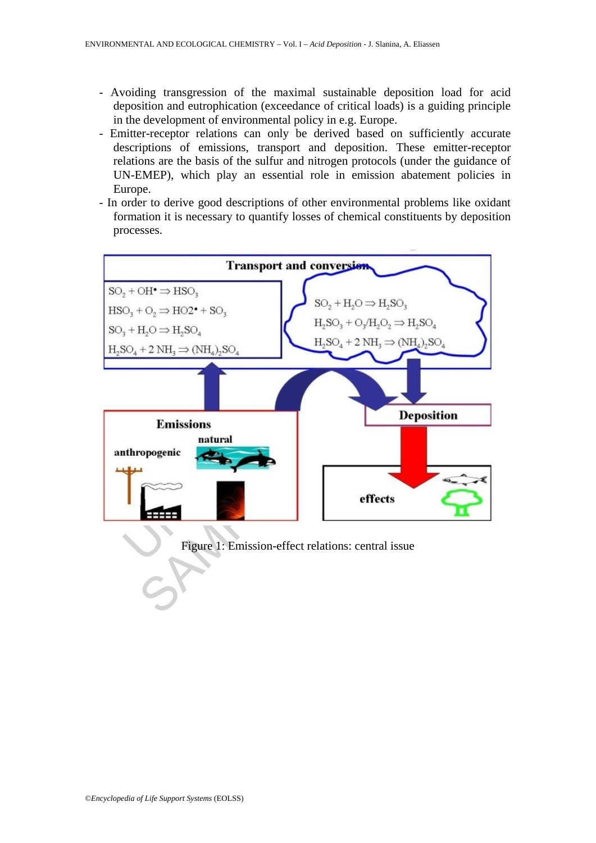- Avoiding transgression of the maximal sustainable deposition load for acid deposition and eutrophication (exceedance of critical loads) is a guiding principle in the development of environmental policy in e.g. Europe.
- Emitter-receptor relations can only be derived based on sufficiently accurate descriptions of emissions, transport and deposition. These emitter-receptor relations are the basis of the sulfur and nitrogen protocols (under the guidance of UN-EMEP), which play an essential role in emission abatement policies in Europe.
- In order to derive good descriptions of other environmental problems like oxidant formation it is necessary to quantify losses of chemical constituents by deposition processes.



Figure 1: Emission-effect relations: central issue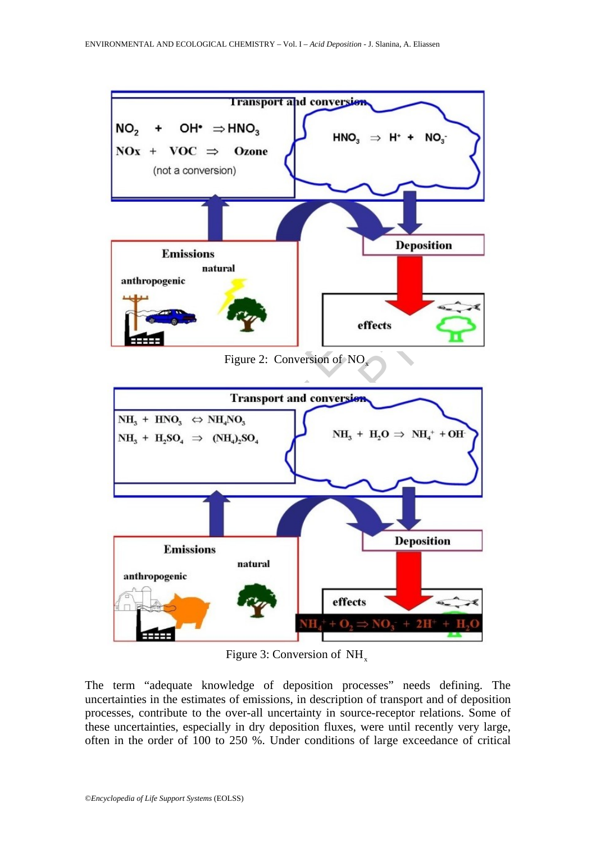

Figure 3: Conversion of  $NH<sub>x</sub>$ 

The term "adequate knowledge of deposition processes" needs defining. The uncertainties in the estimates of emissions, in description of transport and of deposition processes, contribute to the over-all uncertainty in source-receptor relations. Some of these uncertainties, especially in dry deposition fluxes, were until recently very large, often in the order of 100 to 250 %. Under conditions of large exceedance of critical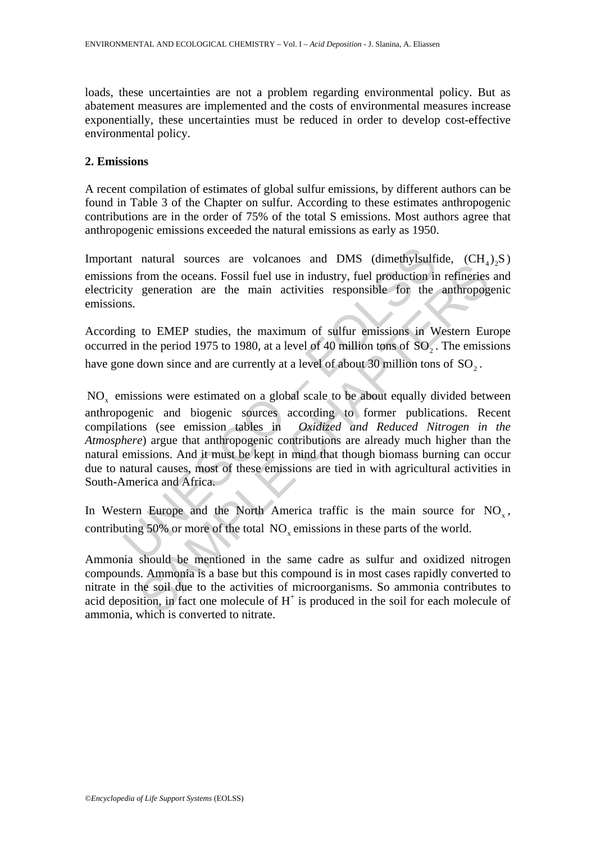loads, these uncertainties are not a problem regarding environmental policy. But as abatement measures are implemented and the costs of environmental measures increase exponentially, these uncertainties must be reduced in order to develop cost-effective environmental policy.

#### **2. Emissions**

A recent compilation of estimates of global sulfur emissions, by different authors can be found in Table 3 of the Chapter on sulfur. According to these estimates anthropogenic contributions are in the order of 75% of the total S emissions. Most authors agree that anthropogenic emissions exceeded the natural emissions as early as 1950.

Important natural sources are volcanoes and DMS (dimethylsulfide,  $(CH_4)$ , S) emissions from the oceans. Fossil fuel use in industry, fuel production in refineries and electricity generation are the main activities responsible for the anthropogenic emissions.

According to EMEP studies, the maximum of sulfur emissions in Western Europe occurred in the period 1975 to 1980, at a level of 40 million tons of  $SO_2$ . The emissions have gone down since and are currently at a level of about 30 million tons of SO<sub>2</sub>.

nt natural sources are volcanoes and DMS (dimethylsulf)<br>ms from the oceans. Fossil fuel use in industry, fuel production in<br>tity generation are the main activities responsible for the<br>ms.<br>mig to EMEP studies, the maximum matural solutions are vicentured with the same contact and the method of the method of the method of the method of SC<sub>2</sub>. The emission are the main activities responsible for the anthropog to EMEP studies, the maximum of  $NO<sub>x</sub>$  emissions were estimated on a global scale to be about equally divided between anthropogenic and biogenic sources according to former publications. Recent compilations (see emission tables in *Oxidized and Reduced Nitrogen in the* Oxidized and Reduced Nitrogen in the *Atmosphere*) argue that anthropogenic contributions are already much higher than the natural emissions. And it must be kept in mind that though biomass burning can occur due to natural causes, most of these emissions are tied in with agricultural activities in South-America and Africa.

In Western Europe and the North America traffic is the main source for  $NO<sub>x</sub>$ , contributing 50% or more of the total NO<sub>v</sub> emissions in these parts of the world.

Ammonia should be mentioned in the same cadre as sulfur and oxidized nitrogen compounds. Ammonia is a base but this compound is in most cases rapidly converted to nitrate in the soil due to the activities of microorganisms. So ammonia contributes to acid deposition, in fact one molecule of  $H^+$  is produced in the soil for each molecule of ammonia, which is converted to nitrate.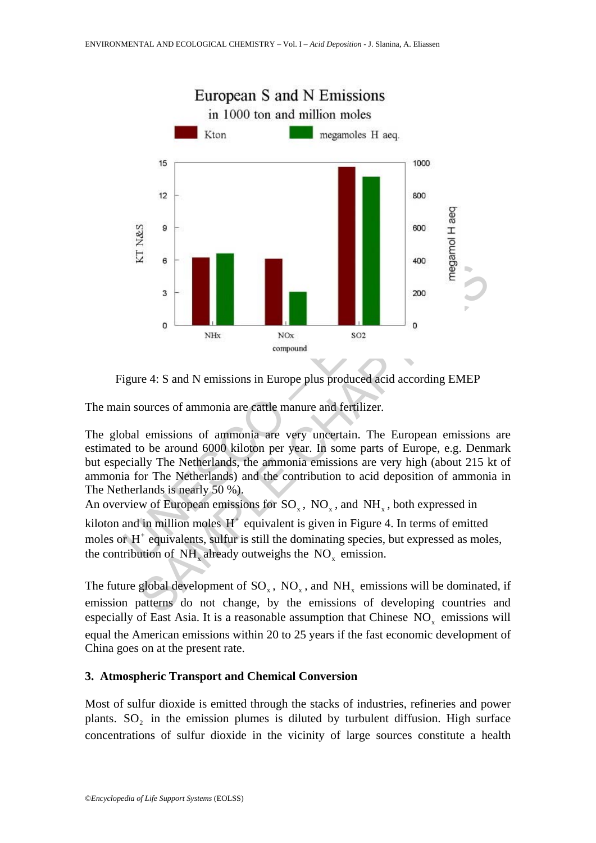

Figure 4: S and N emissions in Europe plus produced acid according EMEP

The main sources of ammonia are cattle manure and fertilizer.

The global emissions of ammonia are very uncertain. The European emissions are estimated to be around 6000 kiloton per year. In some parts of Europe, e.g. Denmark but especially The Netherlands, the ammonia emissions are very high (about 215 kt of ammonia for The Netherlands) and the contribution to acid deposition of ammonia in The Netherlands is nearly 50 %).

An overview of European emissions for  $SO_{v}$ ,  $NO_{v}$ , and  $NH_{v}$ , both expressed in

kiloton and in million moles  $H^+$  equivalent is given in Figure 4. In terms of emitted moles or  $H^+$  equivalents, sulfur is still the dominating species, but expressed as moles, the contribution of  $NH$ , already outweighs the  $NO<sub>z</sub>$  emission.

The future global development of  $SO_x$ ,  $NO_x$ , and  $NH_x$  emissions will be dominated, if emission patterns do not change, by the emissions of developing countries and especially of East Asia. It is a reasonable assumption that Chinese  $NO<sub>x</sub>$  emissions will equal the American emissions within 20 to 25 years if the fast economic development of China goes on at the present rate.

# **3. Atmospheric Transport and Chemical Conversion**

Most of sulfur dioxide is emitted through the stacks of industries, refineries and power plants.  $SO<sub>2</sub>$  in the emission plumes is diluted by turbulent diffusion. High surface concentrations of sulfur dioxide in the vicinity of large sources constitute a health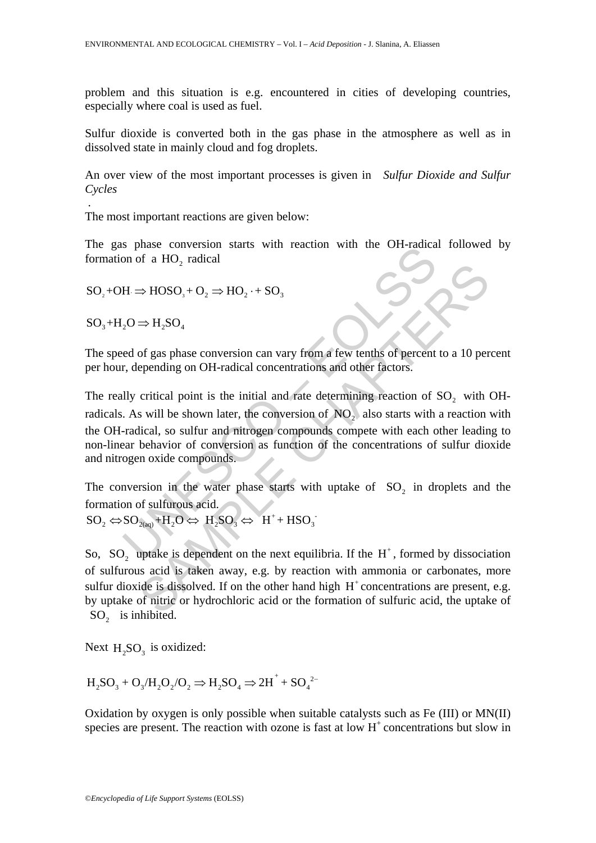problem and this situation is e.g. encountered in cities of developing countries, especially where coal is used as fuel.

Sulfur dioxide is converted both in the gas phase in the atmosphere as well as in dissolved state in mainly cloud and fog droplets.

An over view of the most important processes is given in *Sulfur Dioxide and Sulfur Cycles*

The most important reactions are given below:

The gas phase conversion starts with reaction with the OH-radical followed by formation of a HO<sub>2</sub> radical

$$
SO_2 + OH \Rightarrow HOSO_3 + O_2 \Rightarrow HO_2 \cdot + SO_3
$$

 $SO_3+H_2O \Rightarrow H_2SO_4$ 

.

The speed of gas phase conversion can vary from a few tenths of percent to a 10 percent per hour, depending on OH-radical concentrations and other factors.

on of a HO<sub>2</sub> radical<br>  $H \Rightarrow HOSO_3 + O_2 \Rightarrow HO_2 \cdot + SO_3$ <br>  $_2O \Rightarrow H_2SO_4$ <br>
ed of gas phase conversion can vary from a few tenths of percent<br>
r, depending on OH-radical concentrations and other factors.<br>
Illy critical point is the i  $\Rightarrow$  HOSO<sub>3</sub> + O<sub>2</sub>  $\Rightarrow$  HO<sub>2</sub> + SO<sub>3</sub><br>  $\Rightarrow$  H<sub>2</sub>SO<sub>4</sub><br>
of gas phase conversion can vary from a few tenths of percent to a 10 per<br>
epending on OH-radical concentrations and other factors.<br>
critical point is the initial an The really critical point is the initial and rate determining reaction of  $SO_2$  with OHradicals. As will be shown later, the conversion of  $NO<sub>2</sub>$  also starts with a reaction with the OH-radical, so sulfur and nitrogen compounds compete with each other leading to non-linear behavior of conversion as function of the concentrations of sulfur dioxide and nitrogen oxide compounds.

The conversion in the water phase starts with uptake of  $SO<sub>2</sub>$  in droplets and the

formation of sulfurous acid.<br>  $SO_2 \Leftrightarrow SO_{2(aq)} + H_2O \Leftrightarrow H_2SO_3 \Leftrightarrow H^+ + HSO_3$ 

So, SO, uptake is dependent on the next equilibria. If the  $H^+$ , formed by dissociation of sulfurous acid is taken away, e.g. by reaction with ammonia or carbonates, more sulfur dioxide is dissolved. If on the other hand high  $H<sup>+</sup>$  concentrations are present, e.g. by uptake of nitric or hydrochloric acid or the formation of sulfuric acid, the uptake of SO<sub>2</sub> is inhibited.

Next  $H_2SO_3$  is oxidized:

$$
H_2SO_3+O_3/H_2O_2/O_2\Rightarrow H_2SO_4\Rightarrow {2H}^+ + SO_4{}^{2-}
$$

Oxidation by oxygen is only possible when suitable catalysts such as Fe (III) or MN(II) species are present. The reaction with ozone is fast at low  $H<sup>+</sup>$  concentrations but slow in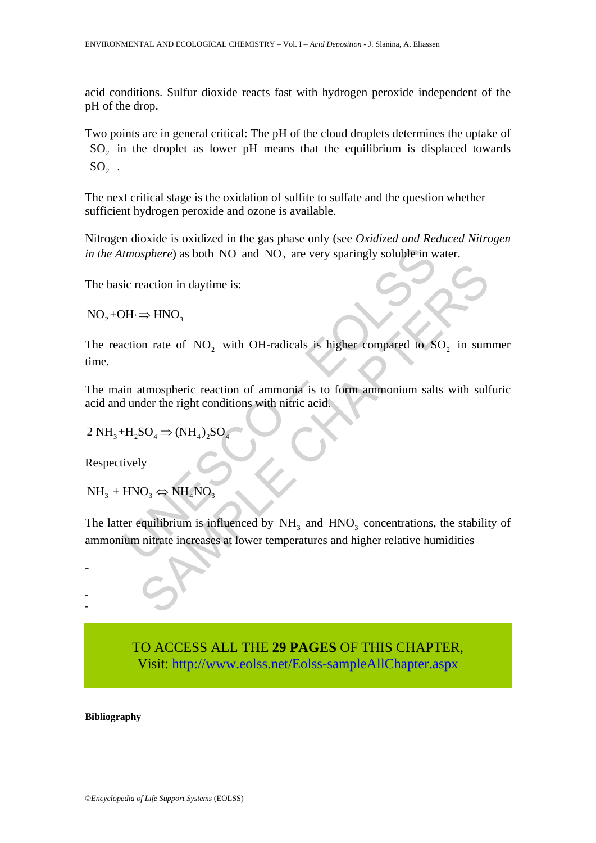acid conditions. Sulfur dioxide reacts fast with hydrogen peroxide independent of the pH of the drop.

Two points are in general critical: The pH of the cloud droplets determines the uptake of SO<sub>2</sub> in the droplet as lower pH means that the equilibrium is displaced towards  $SO<sub>2</sub>$ .

The next critical stage is the oxidation of sulfite to sulfate and the question whether sufficient hydrogen peroxide and ozone is available.

Nitrogen dioxide is oxidized in the gas phase only (see *Oxidized and Reduced Nitrogen in the Atmosphere*) as both NO and  $NO<sub>2</sub>$  are very sparingly soluble in water.

The basic reaction in daytime is:

 $NO<sub>2</sub> + OH \Rightarrow HNO<sub>2</sub>$ 

The reaction rate of  $NO<sub>2</sub>$  with OH-radicals is higher compared to  $SO<sub>2</sub>$  in summer time.

The main atmospheric reaction of ammonia is to form ammonium salts with sulfuric acid and under the right conditions with nitric acid.

$$
2 \text{ NH}_3 + \text{H}_2\text{SO}_4 \Rightarrow (\text{NH}_4)_2\text{SO}_4
$$

Respectively

-

- -

 $NH_3 + HNO_3 \Leftrightarrow NH_4NO_3$ 

tmosphere) as both NO and NO<sub>2</sub> are very sparingly soluble in w<br>ic reaction in daytime is:<br> $DH \Rightarrow HNO_3$ <br>action rate of NO<sub>2</sub> with OH-radicals is higher compared to S<br>in atmospheric reaction of ammonia is to form ammonium sal eaction in daytime is:<br>  $\Rightarrow HNO_3$ <br>
on rate of NO<sub>2</sub> with OH-radicals is higher compared to SO<sub>2</sub> in sum<br>
atmospheric reaction of ammonia is to form ammonium salts with sult<br>
dder the right conditions with nifric acid.<br>
SO<sub></sub> The latter equilibrium is influenced by  $NH<sub>3</sub>$  and  $HNO<sub>3</sub>$  concentrations, the stability of ammonium nitrate increases at lower temperatures and higher relative humidities

> TO ACCESS ALL THE **29 PAGES** OF THIS CHAPTER, Vis[it: http://www.eolss.net/Eolss-sampleAllChapter.aspx](https://www.eolss.net/ebooklib/sc_cart.aspx?File=E6-13-02-05)

**Bibliography**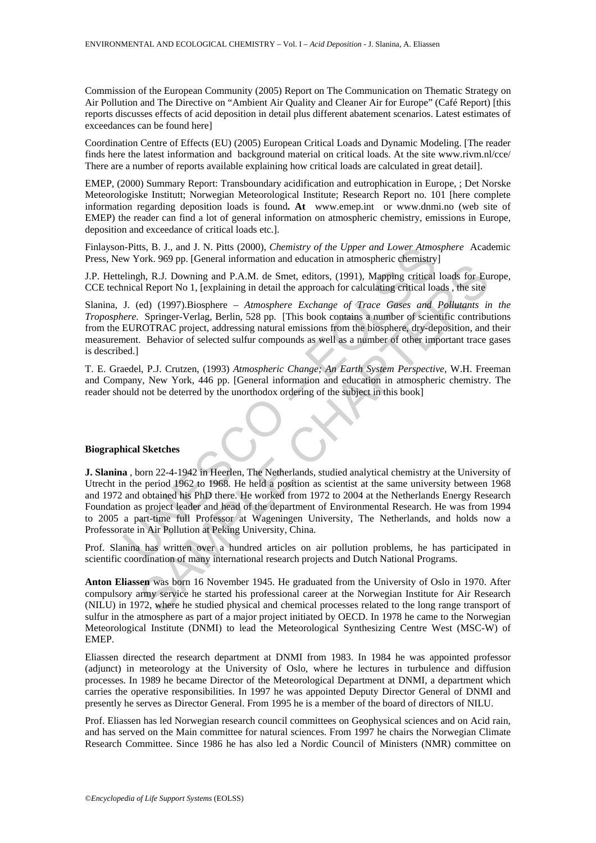Commission of the European Community (2005) Report on The Communication on Thematic Strategy on Air Pollution and The Directive on "Ambient Air Quality and Cleaner Air for Europe" (Café Report) [this reports discusses effects of acid deposition in detail plus different abatement scenarios. Latest estimates of exceedances can be found here]

Coordination Centre of Effects (EU) (2005) European Critical Loads and Dynamic Modeling. [The reader finds here the latest information and background material on critical loads. At the site www.rivm.nl/cce/ There are a number of reports available explaining how critical loads are calculated in great detail].

EMEP, (2000) Summary Report: Transboundary acidification and eutrophication in Europe, ; Det Norske Meteorologiske Institutt; Norwegian Meteorological Institute; Research Report no. 101 [here complete information regarding deposition loads is found**. At** www.emep.int or www.dnmi.no (web site of EMEP) the reader can find a lot of general information on atmospheric chemistry, emissions in Europe, deposition and exceedance of critical loads etc.].

Finlayson-Pitts, B. J., and J. N. Pitts (2000), *Chemistry of the Upper and Lower Atmosphere* Academic Press, New York. 969 pp. [General information and education in atmospheric chemistry]

J.P. Hettelingh, R.J. Downing and P.A.M. de Smet, editors, (1991), Mapping critical loads for Europe, CCE technical Report No 1, [explaining in detail the approach for calculating critical loads , the site

Slanina, J. (ed) (1997).Biosphere – *Atmosphere Exchange of Trace Gases and Pollutants in the Troposphere.* Springer-Verlag, Berlin, 528 pp. [This book contains a number of scientific contributions from the EUROTRAC project, addressing natural emissions from the biosphere, dry-deposition, and their measurement. Behavior of selected sulfur compounds as well as a number of other important trace gases is described.]

T. E. Graedel, P.J. Crutzen, (1993) *Atmospheric Change; An Earth System Perspective*, W.H. Freeman and Company, New York, 446 pp. [General information and education in atmospheric chemistry. The reader should not be deterred by the unorthodox ordering of the subject in this book]



#### **Biographical Sketches**

1-Pltts, B. J., and J. N. Pitts (2000), *Chemistry of the Upper and Lower Atmox*<br>W York. 969 pp. [General information and education in atmospheric chemistry<br>Elingh, R.J. Downing and P.A.M. de Smet, editiors, (1991). Mappin (1991), Mapping and P.A.M. de Smet, editors, (1991), Mapping critical loads for Eu<br>
Report No 1, [explaining in detail the approach for calculating critical loads for Eu<br>
Report No 1, [explaining in detail the approach for **J. Slanina** , born 22-4-1942 in Heerlen, The Netherlands, studied analytical chemistry at the University of Utrecht in the period 1962 to 1968. He held a position as scientist at the same university between 1968 and 1972 and obtained his PhD there. He worked from 1972 to 2004 at the Netherlands Energy Research Foundation as project leader and head of the department of Environmental Research. He was from 1994 to 2005 a part-time full Professor at Wageningen University, The Netherlands, and holds now a Professorate in Air Pollution at Peking University, China.

Prof. Slanina has written over a hundred articles on air pollution problems, he has participated in scientific coordination of many international research projects and Dutch National Programs.

**Anton Eliassen** was born 16 November 1945. He graduated from the University of Oslo in 1970. After compulsory army service he started his professional career at the Norwegian Institute for Air Research (NILU) in 1972, where he studied physical and chemical processes related to the long range transport of sulfur in the atmosphere as part of a major project initiated by OECD. In 1978 he came to the Norwegian Meteorological Institute (DNMI) to lead the Meteorological Synthesizing Centre West (MSC-W) of EMEP.

Eliassen directed the research department at DNMI from 1983. In 1984 he was appointed professor (adjunct) in meteorology at the University of Oslo, where he lectures in turbulence and diffusion processes. In 1989 he became Director of the Meteorological Department at DNMI, a department which carries the operative responsibilities. In 1997 he was appointed Deputy Director General of DNMI and presently he serves as Director General. From 1995 he is a member of the board of directors of NILU.

Prof. Eliassen has led Norwegian research council committees on Geophysical sciences and on Acid rain, and has served on the Main committee for natural sciences. From 1997 he chairs the Norwegian Climate Research Committee. Since 1986 he has also led a Nordic Council of Ministers (NMR) committee on